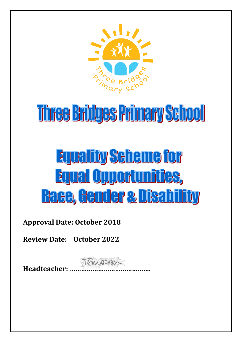

# Three Bridges Primary School

# **Equality Seheme for** Equal Opportunities, **Race, Cender & Disability**

**Approval Date: October 2018**

**Review Date: October 2022**

**Headteacher: …………………………………….**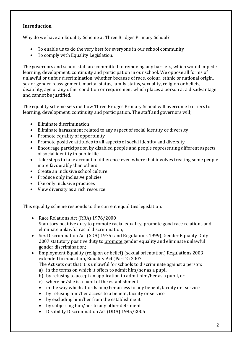#### **Introduction**

Why do we have an Equality Scheme at Three Bridges Primary School?

- To enable us to do the very best for everyone in our school community
- To comply with Equality Legislation.

The governors and school staff are committed to removing any barriers, which would impede learning, development, continuity and participation in our school. We oppose all forms of unlawful or unfair discrimination, whether because of race, colour, ethnic or national origin, sex or gender reassignment, marital status, family status, sexuality, religion or beliefs, disability, age or any other condition or requirement which places a person at a disadvantage and cannot be justified.

The equality scheme sets out how Three Bridges Primary School will overcome barriers to learning, development, continuity and participation. The staff and governors will;

- Eliminate discrimination
- Eliminate harassment related to any aspect of social identity or diversity
- Promote equality of opportunity
- Promote positive attitudes to all aspects of social identity and diversity
- Encourage participation by disabled people and people representing different aspects of social identity in public life
- Take steps to take account of difference even where that involves treating some people more favourably than others
- Create an inclusive school culture
- Produce only inclusive policies
- Use only inclusive practices
- View diversity as a rich resource

This equality scheme responds to the current equalities legislation:

- Race Relations Act (RRA) 1976/2000 Statutory positive duty to promote racial equality, promote good race relations and eliminate unlawful racial discrimination;
- Sex Discrimination Act (SDA) 1975 (and Regulations 1999), Gender Equality Duty 2007 statutory positive duty to promote gender equality and eliminate unlawful gender discrimination;
- Employment Equality (religion or belief) (sexual orientation) Regulations 2003 extended to education, Equality Act (Part 2) 2007
	- The Act sets out that it is unlawful for schools to discriminate against a person:
	- a) in the terms on which it offers to admit him/her as a pupil
	- b) by refusing to accept an application to admit him/her as a pupil, or
	- c) where he/she is a pupil of the establishment:
	- in the way which affords him/her access to any benefit, facility or service
	- by refusing him/her access to a benefit, facility or service
	- by excluding him/her from the establishment
	- by subjecting him/her to any other detriment
	- Disability Discrimination Act (DDA) 1995/2005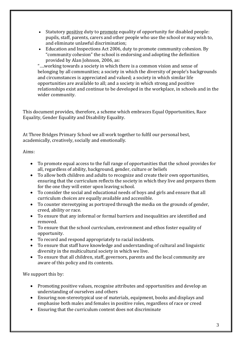- Statutory positive duty to promote equality of opportunity for disabled people: pupils, staff, parents, carers and other people who use the school or may wish to, and eliminate unlawful discrimination;
- Education and Inspections Act 2006, duty to promote community cohesion. By "community cohesion" the school is endorsing and adopting the definition provided by Alan Johnson, 2006, as:

"….working towards a society in which there is a common vision and sense of belonging by all communities; a society in which the diversity of people's backgrounds and circumstances is appreciated and valued; a society in which similar life opportunities are available to all; and a society in which strong and positive relationships exist and continue to be developed in the workplace, in schools and in the wider community.

This document provides, therefore, a scheme which embraces Equal Opportunities, Race Equality, Gender Equality and Disability Equality.

At Three Bridges Primary School we all work together to fulfil our personal best, academically, creatively, socially and emotionally.

Aims:

- To promote equal access to the full range of opportunities that the school provides for all, regardless of ability, background, gender, culture or beliefs
- To allow both children and adults to recognize and create their own opportunities, ensuring that the curriculum reflects the society in which they live and prepares them for the one they will enter upon leaving school.
- To consider the social and educational needs of boys and girls and ensure that all curriculum choices are equally available and accessible.
- To counter stereotyping as portrayed through the media on the grounds of gender, creed, ability or race.
- To ensure that any informal or formal barriers and inequalities are identified and removed.
- To ensure that the school curriculum, environment and ethos foster equality of opportunity.
- To record and respond appropriately to racial incidents.
- To ensure that staff have knowledge and understanding of cultural and linguistic diversity in the multicultural society in which we live.
- To ensure that all children, staff, governors, parents and the local community are aware of this policy and its contents.

- Promoting positive values, recognise attributes and opportunities and develop an understanding of ourselves and others
- Ensuring non-stereotypical use of materials, equipment, books and displays and emphasise both males and females in positive roles, regardless of race or creed
- Ensuring that the curriculum content does not discriminate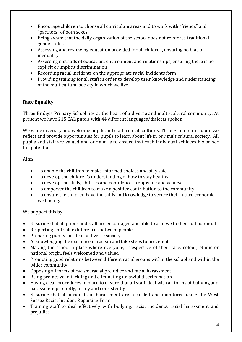- Encourage children to choose all curriculum areas and to work with "friends" and "partners" of both sexes
- Being aware that the daily organization of the school does not reinforce traditional gender roles
- Assessing and reviewing education provided for all children, ensuring no bias or inequality
- Assessing methods of education, environment and relationships, ensuring there is no explicit or implicit discrimination
- Recording racial incidents on the appropriate racial incidents form
- Providing training for all staff in order to develop their knowledge and understanding of the multicultural society in which we live

### **Race Equality**

Three Bridges Primary School lies at the heart of a diverse and multi-cultural community. At present we have 215 EAL pupils with 44 different languages/dialects spoken.

We value diversity and welcome pupils and staff from all cultures. Through our curriculum we reflect and provide opportunities for pupils to learn about life in our multicultural society. All pupils and staff are valued and our aim is to ensure that each individual achieves his or her full potential.

Aims:

- To enable the children to make informed choices and stay safe
- To develop the children's understanding of how to stay healthy
- To develop the skills, abilities and confidence to enjoy life and achieve
- To empower the children to make a positive contribution to the community
- To ensure the children have the skills and knowledge to secure their future economic well being.

- Ensuring that all pupils and staff are encouraged and able to achieve to their full potential
- Respecting and value differences between people
- Preparing pupils for life in a diverse society
- Acknowledging the existence of racism and take steps to prevent it
- Making the school a place where everyone, irrespective of their race, colour, ethnic or national origin, feels welcomed and valued
- Promoting good relations between different racial groups within the school and within the wider community
- Opposing all forms of racism, racial prejudice and racial harassment
- Being pro-active in tackling and eliminating unlawful discrimination
- Having clear procedures in place to ensure that all staff deal with all forms of bullying and harassment promptly, firmly and consistently
- Ensuring that all incidents of harassment are recorded and monitored using the West Sussex Racist Incident Reporting Form
- Training staff to deal effectively with bullying, racist incidents, racial harassment and prejudice.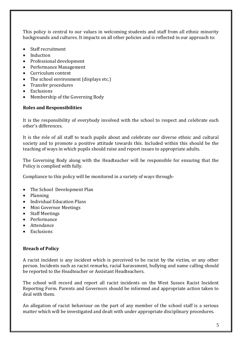This policy is central to our values in welcoming students and staff from all ethnic minority backgrounds and cultures. It impacts on all other policies and is reflected in our approach to:

- Staff recruitment
- Induction
- Professional development
- Performance Management
- Curriculum content
- The school environment (displays etc.)
- Transfer procedures
- Exclusions
- Membership of the Governing Body

#### **Roles and Responsibilities**

It is the responsibility of everybody involved with the school to respect and celebrate each other's differences.

It is the role of all staff to teach pupils about and celebrate our diverse ethnic and cultural society and to promote a positive attitude towards this. Included within this should be the teaching of ways in which pupils should raise and report issues to appropriate adults.

The Governing Body along with the Headteacher will be responsible for ensuring that the Policy is complied with fully.

Compliance to this policy will be monitored in a variety of ways through-

- The School Development Plan
- Planning
- Individual Education Plans
- Mini Governor Meetings
- Staff Meetings
- Performance
- Attendance
- Exclusions

#### **Breach of Policy**

A racist incident is any incident which is perceived to be racist by the victim, or any other person. Incidents such as racist remarks, racial harassment, bullying and name calling should be reported to the Headteacher or Assistant Headteachers.

The school will record and report all racist incidents on the West Sussex Racist Incident Reporting Form. Parents and Governors should be informed and appropriate action taken to deal with them.

An allegation of racist behaviour on the part of any member of the school staff is a serious matter which will be investigated and dealt with under appropriate disciplinary procedures.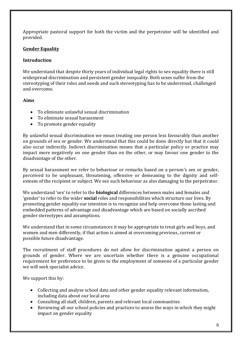Appropriate pastoral support for both the victim and the perpetrator will be identified and provided.

## **Gender Equality**

#### **Introduction**

We understand that despite thirty years of individual legal rights to sex equality there is still widespread discrimination and persistent gender inequality. Both sexes suffer from the stereotyping of their roles and needs and such stereotyping has to be understood, challenged and overcome.

### **Aims**

- To eliminate unlawful sexual discrimination
- To eliminate sexual harassment
- To promote gender equality

By unlawful sexual discrimination we mean treating one person less favourably than another on grounds of sex or gender. We understand that this could be done directly but that it could also occur indirectly. Indirect discrimination means that a particular policy or practice may impact more negatively on one gender than on the other, or may favour one gender to the disadvantage of the other.

By sexual harassment we refer to behaviour or remarks based on a person's sex or gender, perceived to be unpleasant, threatening, offensive or demeaning to the dignity and selfesteem of the recipient or subject. We see such behaviour as also damaging to the perpetrator.

We understand 'sex' to refer to the **biological** differences between males and females and 'gender' to refer to the wider **social** roles and responsibilities which structure our lives. By promoting gender equality our intention is to recognize and help overcome those lasting and embedded patterns of advantage and disadvantage which are based on socially ascribed gender stereotypes and assumptions.

We understand that in some circumstances it may be appropriate to treat girls and boys, and women and men differently, if that action is aimed at overcoming previous, current or possible future disadvantage.

The recruitment of staff procedures do not allow for discrimination against a person on grounds of gender. Where we are uncertain whether there is a genuine occupational requirement for preference to be given to the employment of someone of a particular gender we will seek specialist advice.

- Collecting and analyse school data and other gender equality relevant information, including data about our local area
- Consulting all staff, children, parents and relevant local communities
- Reviewing all our school policies and practices to assess the ways in which they might impact on gender equality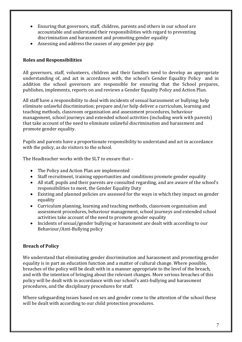- Ensuring that governors, staff, children, parents and others in our school are accountable and understand their responsibilities with regard to preventing discrimination and harassment and promoting gender equality
- Assessing and address the causes of any gender pay gap

### **Roles and Responsibilities**

All governors, staff, volunteers, children and their families need to develop an appropriate understanding of, and act in accordance with, the school's Gender Equality Policy and in addition the school governors are responsible for ensuring that the School prepares, publishes, implements, reports on and reviews a Gender Equality Policy and Action Plan.

All staff have a responsibility to deal with incidents of sexual harassment or bullying; help eliminate unlawful discrimination; prepare and/or help deliver a curriculum, learning and teaching methods, classroom organisation and assessment procedures, behaviour management, school journeys and extended school activities (including work with parents) that take account of the need to eliminate unlawful discrimination and harassment and promote gender equality.

Pupils and parents have a proportionate responsibility to understand and act in accordance with the policy, as do visitors to the school.

The Headteacher works with the SLT to ensure that –

- The Policy and Action Plan are implemented
- Staff recruitment, training opportunities and conditions promote gender equality
- All staff, pupils and their parents are consulted regarding, and are aware of the school's responsibilities to meet, the Gender Equality Duty
- Existing and planned policies are assessed for the ways in which they impact on gender equality
- Curriculum planning, learning and teaching methods, classroom organisation and assessment procedures, behaviour management, school journeys and extended school activities take account of the need to promote gender equality
- Incidents of sexual/gender bullying or harassment are dealt with according to our Behaviour/Anti-Bullying policy

# **Breach of Policy**

We understand that eliminating gender discrimination and harassment and promoting gender equality is in part an education function and a matter of cultural change. Where possible, breaches of the policy will be dealt with in a manner appropriate to the level of the breach, and with the intention of bringing about the relevant changes. More serious breaches of this policy will be dealt with in accordance with our school's anti-bullying and harassment procedures, and the disciplinary procedures for staff.

Where safeguarding issues based on sex and gender come to the attention of the school these will be dealt with according to our child protection procedures.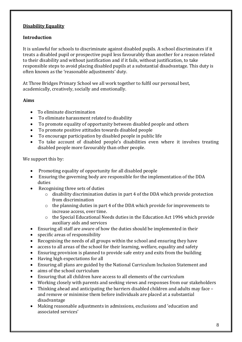#### **Disability Equality**

#### **Introduction**

It is unlawful for schools to discriminate against disabled pupils. A school discriminates if it treats a disabled pupil or prospective pupil less favourably than another for a reason related to their disability and without justification and if it fails, without justification, to take responsible steps to avoid placing disabled pupils at a substantial disadvantage. This duty is often known as the 'reasonable adjustments' duty.

At Three Bridges Primary School we all work together to fulfil our personal best, academically, creatively, socially and emotionally.

#### **Aims**

- To eliminate discrimination
- To eliminate harassment related to disability
- To promote equality of opportunity between disabled people and others
- To promote positive attitudes towards disabled people
- To encourage participation by disabled people in public life
- To take account of disabled people's disabilities even where it involves treating disabled people more favourably than other people.

- Promoting equality of opportunity for all disabled people
- Ensuring the governing body are responsible for the implementation of the DDA duties
- Recognising three sets of duties
	- o disability discrimination duties in part 4 of the DDA which provide protection from discrimination
	- o the planning duties in part 4 of the DDA which provide for improvements to increase access, over time.
	- o the Special Educational Needs duties in the Education Act 1996 which provide auxiliary aids and services
- Ensuring all staff are aware of how the duties should be implemented in their
- specific areas of responsibility
- Recognising the needs of all groups within the school and ensuring they have
- access to all areas of the school for their learning, welfare, equality and safety
- Ensuring provision is planned to provide safe entry and exits from the building
- Having high expectations for all
- Ensuring all plans are guided by the National Curriculum Inclusion Statement and
- aims of the school curriculum
- Ensuring that all children have access to all elements of the curriculum
- Working closely with parents and seeking views and responses from our stakeholders
- Thinking ahead and anticipating the barriers disabled children and adults may face and remove or minimise them before individuals are placed at a substantial disadvantage
- Making reasonable adjustments in admissions, exclusions and 'education and associated services'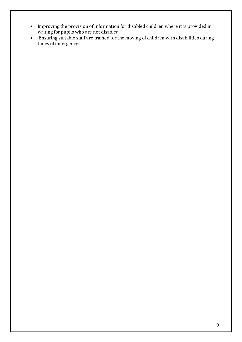- Improving the provision of information for disabled children where it is provided in writing for pupils who are not disabled
- Ensuring suitable staff are trained for the moving of children with disabilities during times of emergency.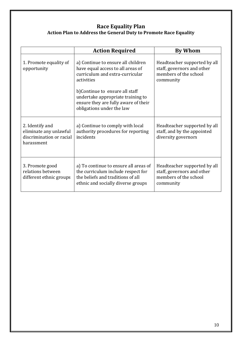# **Race Equality Plan Action Plan to Address the General Duty to Promote Race Equality**

|                                                                                     | <b>Action Required</b>                                                                                                                                 | <b>By Whom</b>                                                                                   |
|-------------------------------------------------------------------------------------|--------------------------------------------------------------------------------------------------------------------------------------------------------|--------------------------------------------------------------------------------------------------|
| 1. Promote equality of<br>opportunity                                               | a) Continue to ensure all children<br>have equal access to all areas of<br>curriculum and extra-curricular<br>activities                               | Headteacher supported by all<br>staff, governors and other<br>members of the school<br>community |
|                                                                                     | b)Continue to ensure all staff<br>undertake appropriate training to<br>ensure they are fully aware of their<br>obligations under the law               |                                                                                                  |
| 2. Identify and<br>eliminate any unlawful<br>discrimination or racial<br>harassment | a) Continue to comply with local<br>authority procedures for reporting<br>incidents                                                                    | Headteacher supported by all<br>staff, and by the appointed<br>diversity governors               |
| 3. Promote good<br>relations between<br>different ethnic groups                     | a) To continue to ensure all areas of<br>the curriculum include respect for<br>the beliefs and traditions of all<br>ethnic and socially diverse groups | Headteacher supported by all<br>staff, governors and other<br>members of the school<br>community |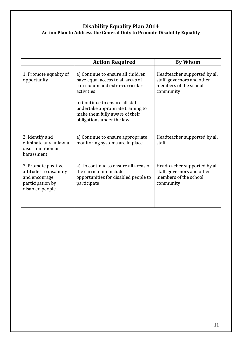# **Disability Equality Plan 2014 Action Plan to Address the General Duty to Promote Disability Equality**

|                                                                                                        | <b>Action Required</b>                                                                                                                                      | <b>By Whom</b>                                                                                   |
|--------------------------------------------------------------------------------------------------------|-------------------------------------------------------------------------------------------------------------------------------------------------------------|--------------------------------------------------------------------------------------------------|
| 1. Promote equality of<br>opportunity                                                                  | a) Continue to ensure all children<br>have equal access to all areas of<br>curriculum and extra-curricular<br>activities<br>b) Continue to ensure all staff | Headteacher supported by all<br>staff, governors and other<br>members of the school<br>community |
|                                                                                                        | undertake appropriate training to<br>make them fully aware of their<br>obligations under the law                                                            |                                                                                                  |
| 2. Identify and<br>eliminate any unlawful<br>discrimination or<br>harassment                           | a) Continue to ensure appropriate<br>monitoring systems are in place                                                                                        | Headteacher supported by all<br>staff                                                            |
| 3. Promote positive<br>attitudes to disability<br>and encourage<br>participation by<br>disabled people | a) To continue to ensure all areas of<br>the curriculum include<br>opportunities for disabled people to<br>participate                                      | Headteacher supported by all<br>staff, governors and other<br>members of the school<br>community |